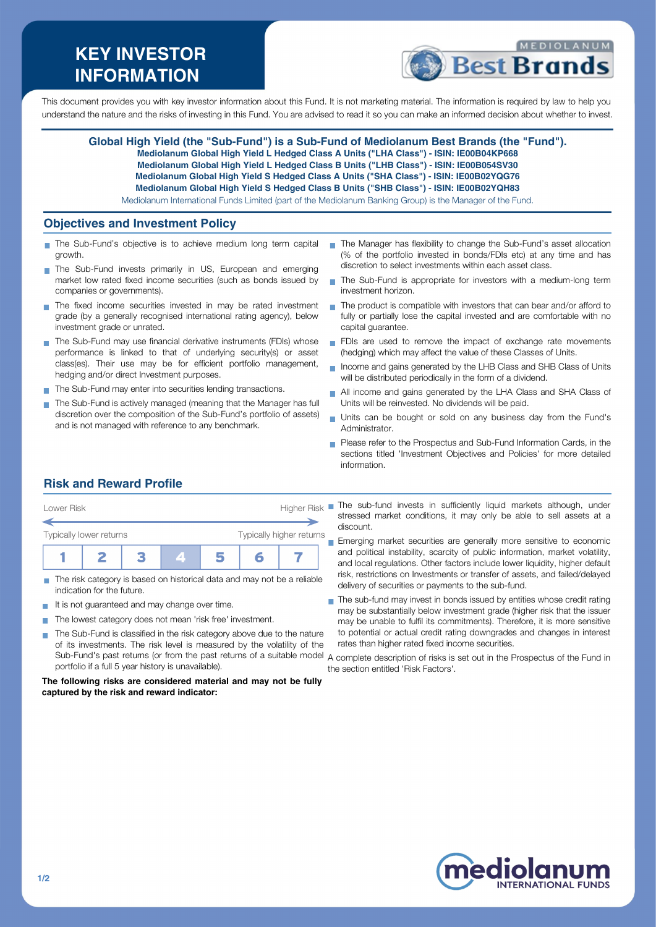# **KEY INVESTOR INFORMATION**



This document provides you with key investor information about this Fund. It is not marketing material. The information is required by law to help you understand the nature and the risks of investing in this Fund. You are advised to read it so you can make an informed decision about whether to invest.

**Global High Yield (the "Sub-Fund") is a Sub-Fund of Mediolanum Best Brands (the "Fund"). Mediolanum Global High Yield L Hedged Class A Units ("LHA Class") - ISIN: IE00B04KP668 Mediolanum Global High Yield L Hedged Class B Units ("LHB Class") - ISIN: IE00B054SV30 Mediolanum Global High Yield S Hedged Class A Units ("SHA Class") - ISIN: IE00B02YQG76 Mediolanum Global High Yield S Hedged Class B Units ("SHB Class") - ISIN: IE00B02YQH83** Mediolanum International Funds Limited (part of the Mediolanum Banking Group) is the Manager of the Fund.

### **Objectives and Investment Policy**

- The Sub-Fund's objective is to achieve medium long term capital growth.
- The Sub-Fund invests primarily in US, European and emerging market low rated fixed income securities (such as bonds issued by companies or governments).
- The fixed income securities invested in may be rated investment grade (by a generally recognised international rating agency), below investment grade or unrated.
- The Sub-Fund may use financial derivative instruments (FDIs) whose performance is linked to that of underlying security(s) or asset class(es). Their use may be for efficient portfolio management, hedging and/or direct Investment purposes.
- The Sub-Fund may enter into securities lending transactions.
- The Sub-Fund is actively managed (meaning that the Manager has full discretion over the composition of the Sub-Fund's portfolio of assets) and is not managed with reference to any benchmark.
- The Manager has flexibility to change the Sub-Fund's asset allocation (% of the portfolio invested in bonds/FDIs etc) at any time and has discretion to select investments within each asset class.
- $\mathcal{L}_{\mathcal{A}}$ The Sub-Fund is appropriate for investors with a medium-long term investment horizon.
- The product is compatible with investors that can bear and/or afford to  $\mathcal{L}_{\mathcal{A}}$ fully or partially lose the capital invested and are comfortable with no capital guarantee.
- FDIs are used to remove the impact of exchange rate movements (hedging) which may affect the value of these Classes of Units.
- Income and gains generated by the LHB Class and SHB Class of Units will be distributed periodically in the form of a dividend.
- All income and gains generated by the LHA Class and SHA Class of  $\overline{\phantom{a}}$ Units will be reinvested. No dividends will be paid.
- Units can be bought or sold on any business day from the Fund's Administrator.
- **Please refer to the Prospectus and Sub-Fund Information Cards, in the** sections titled 'Investment Objectives and Policies' for more detailed information.

## **Risk and Reward Profile**



- The risk category is based on historical data and may not be a reliable indication for the future.
- It is not guaranteed and may change over time.
- The lowest category does not mean 'risk free' investment.  $\sim$
- The Sub-Fund is classified in the risk category above due to the nature  $\sim$ of its investments. The risk level is measured by the volatility of the Sub-Fund's past returns (or from the past returns of a suitable model A complete description of risks is set out in the Prospectus of the Fund in portfolio if a full 5 year history is unavailable).

#### **The following risks are considered material and may not be fully captured by the risk and reward indicator:**

stressed market conditions, it may only be able to sell assets at a discount.

Emerging market securities are generally more sensitive to economic and political instability, scarcity of public information, market volatility, and local regulations. Other factors include lower liquidity, higher default risk, restrictions on Investments or transfer of assets, and failed/delayed delivery of securities or payments to the sub-fund.

The sub-fund may invest in bonds issued by entities whose credit rating ÷ may be substantially below investment grade (higher risk that the issuer may be unable to fulfil its commitments). Therefore, it is more sensitive to potential or actual credit rating downgrades and changes in interest rates than higher rated fixed income securities.

the section entitled 'Risk Factors'.